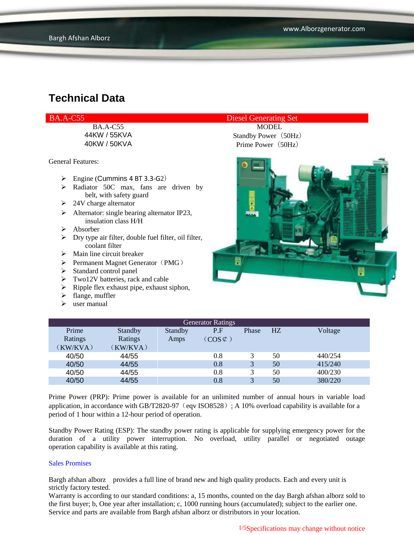BA.A-C55 MODEL

General Features:

- $\triangleright$  Engine (Cummins 4 BT 3.3-G2)
- $\triangleright$  Radiator 50C max, fans are driven by belt, with safety guard
- $\geq 24V$  charge alternator
- $\triangleright$  Alternator: single bearing alternator IP23, insulation class H/H
- Absorber
- Dry type air filter, double fuel filter, oil filter, coolant filter
- $\triangleright$  Main line circuit breaker
- $\triangleright$  Permanent Magnet Generator (PMG)
- $\triangleright$  Standard control panel
- $\triangleright$  Two12V batteries, rack and cable
- $\triangleright$  Ripple flex exhaust pipe, exhaust siphon,
- $\blacktriangleright$  flange, muffler
- $\triangleright$  user manual

### BA.A-C55 Diesel Generating Set

44KW / 55KVA Standby Power (50Hz) 40KW / 50KVA Prime Power (50Hz)



| <b>Generator Ratings</b> |                |                |                     |       |    |         |
|--------------------------|----------------|----------------|---------------------|-------|----|---------|
| Prime                    | <b>Standby</b> | <b>Standby</b> | P.F                 | Phase | HZ | Voltage |
| Ratings                  | Ratings        | Amps           | $(COS \mathcal{L})$ |       |    |         |
| (KW/KVA)                 | (KW/KVA)       |                |                     |       |    |         |
| 40/50                    | 44/55          |                | 0.8                 | 3     | 50 | 440/254 |
| 40/50                    | 44/55          |                | 0.8                 | 3     | 50 | 415/240 |
| 40/50                    | 44/55          |                | 0.8                 | 3     | 50 | 400/230 |
| 40/50                    | 44/55          |                | 0.8                 | 3     | 50 | 380/220 |

Prime Power (PRP): Prime power is available for an unlimited number of annual hours in variable load application, in accordance with GB/T2820-97 (eqv ISO8528); A 10% overload capability is available for a period of 1 hour within a 12-hour period of operation.

Standby Power Rating (ESP): The standby power rating is applicable for supplying emergency power for the duration of a utility power interruption. No overload, utility parallel or negotiated outage operation capability is available at this rating.

#### Sales Promises

Bargh afshan alborz provides a full line of brand new and high quality products. Each and every unit is strictly factory tested.

Warranty is according to our standard conditions: a, 15 months, counted on the day Bargh afshan alborz sold to the first buyer; b, One year after installation; c, 1000 running hours (accumulated); subject to the earlier one. Service and parts are available from Bargh afshan alborz or distributors in your location.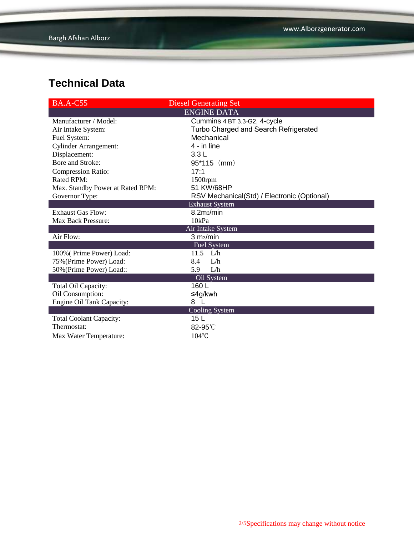| <b>BA.A-C55</b>                  | <b>Diesel Generating Set</b>                |  |  |  |
|----------------------------------|---------------------------------------------|--|--|--|
|                                  | <b>ENGINE DATA</b>                          |  |  |  |
| Manufacturer / Model:            | Cummins 4 BT 3.3-G2, 4-cycle                |  |  |  |
| Air Intake System:               | Turbo Charged and Search Refrigerated       |  |  |  |
| Fuel System:                     | Mechanical                                  |  |  |  |
| <b>Cylinder Arrangement:</b>     | 4 - in line                                 |  |  |  |
| Displacement:                    | 3.3L                                        |  |  |  |
| Bore and Stroke:                 | $95*115$ (mm)                               |  |  |  |
| <b>Compression Ratio:</b>        | 17:1                                        |  |  |  |
| <b>Rated RPM:</b>                | $1500$ rpm                                  |  |  |  |
| Max. Standby Power at Rated RPM: | 51 KW/68HP                                  |  |  |  |
| Governor Type:                   | RSV Mechanical(Std) / Electronic (Optional) |  |  |  |
|                                  | <b>Exhaust System</b>                       |  |  |  |
| <b>Exhaust Gas Flow:</b>         | 8.2m <sub>3</sub> /min                      |  |  |  |
| Max Back Pressure:               | 10kPa                                       |  |  |  |
|                                  | Air Intake System                           |  |  |  |
| Air Flow:                        | 3 m <sub>3</sub> /min                       |  |  |  |
|                                  | <b>Fuel System</b>                          |  |  |  |
| 100% (Prime Power) Load:         | 11.5 $L/h$                                  |  |  |  |
| 75% (Prime Power) Load:          | 8.4<br>L/h                                  |  |  |  |
| 50% (Prime Power) Load::         | L/h<br>5.9                                  |  |  |  |
|                                  | Oil System                                  |  |  |  |
| Total Oil Capacity:              | 160 L                                       |  |  |  |
| Oil Consumption:                 | ≤4g/kwh                                     |  |  |  |
| <b>Engine Oil Tank Capacity:</b> | 8                                           |  |  |  |
|                                  | Cooling System                              |  |  |  |
| <b>Total Coolant Capacity:</b>   | 15 L                                        |  |  |  |
| Thermostat:                      | 82-95°C                                     |  |  |  |
| Max Water Temperature:           | $104$ °C                                    |  |  |  |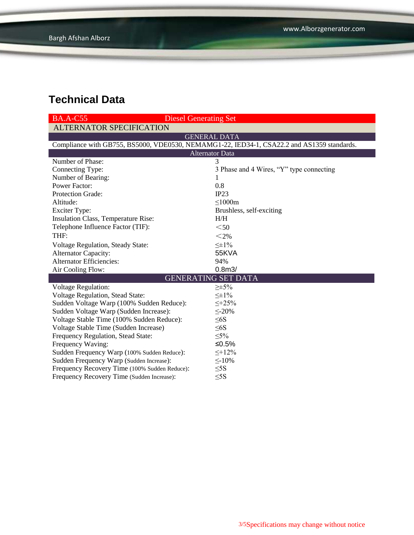| <b>Diesel Generating Set</b><br><b>BA.A-C55</b>                                            |                                          |  |  |  |  |  |
|--------------------------------------------------------------------------------------------|------------------------------------------|--|--|--|--|--|
| <b>ALTERNATOR SPECIFICATION</b>                                                            |                                          |  |  |  |  |  |
| <b>GENERAL DATA</b>                                                                        |                                          |  |  |  |  |  |
| Compliance with GB755, BS5000, VDE0530, NEMAMG1-22, IED34-1, CSA22.2 and AS1359 standards. |                                          |  |  |  |  |  |
| <b>Alternator Data</b>                                                                     |                                          |  |  |  |  |  |
| Number of Phase:                                                                           | 3                                        |  |  |  |  |  |
| Connecting Type:                                                                           | 3 Phase and 4 Wires, "Y" type connecting |  |  |  |  |  |
| Number of Bearing:                                                                         | 1                                        |  |  |  |  |  |
| <b>Power Factor:</b>                                                                       | 0.8                                      |  |  |  |  |  |
| <b>Protection Grade:</b>                                                                   | IP23                                     |  |  |  |  |  |
| Altitude:                                                                                  | $\leq$ 1000m                             |  |  |  |  |  |
| <b>Exciter Type:</b>                                                                       | Brushless, self-exciting                 |  |  |  |  |  |
| Insulation Class, Temperature Rise:                                                        | H/H                                      |  |  |  |  |  |
| Telephone Influence Factor (TIF):                                                          | $50$                                     |  |  |  |  |  |
| THF:                                                                                       | $<$ 2%                                   |  |  |  |  |  |
| <b>Voltage Regulation, Steady State:</b>                                                   | $\leq \pm 1\%$                           |  |  |  |  |  |
| <b>Alternator Capacity:</b>                                                                | 55KVA                                    |  |  |  |  |  |
| <b>Alternator Efficiencies:</b>                                                            | 94%                                      |  |  |  |  |  |
| Air Cooling Flow:                                                                          | 0.8 <sub>m3</sub>                        |  |  |  |  |  |
|                                                                                            | <b>GENERATING SET DATA</b>               |  |  |  |  |  |
| <b>Voltage Regulation:</b>                                                                 | $\geq \pm 5\%$                           |  |  |  |  |  |
| Voltage Regulation, Stead State:                                                           | $\leq \pm 1\%$                           |  |  |  |  |  |
| Sudden Voltage Warp (100% Sudden Reduce):                                                  | $\leq +25\%$                             |  |  |  |  |  |
| Sudden Voltage Warp (Sudden Increase):                                                     | $\leq$ -20%                              |  |  |  |  |  |
| Voltage Stable Time (100% Sudden Reduce):                                                  | $\leq 6S$                                |  |  |  |  |  |
| Voltage Stable Time (Sudden Increase)                                                      | $\leq 6S$                                |  |  |  |  |  |
| Frequency Regulation, Stead State:                                                         | $\leq 5\%$                               |  |  |  |  |  |
| Frequency Waving:                                                                          | ≤0.5%                                    |  |  |  |  |  |
| Sudden Frequency Warp (100% Sudden Reduce):                                                | $\leq +12\%$                             |  |  |  |  |  |
| Sudden Frequency Warp (Sudden Increase):                                                   | $\leq$ -10%                              |  |  |  |  |  |
| Frequency Recovery Time (100% Sudden Reduce):                                              | $\leq$ 5S                                |  |  |  |  |  |
| Frequency Recovery Time (Sudden Increase):                                                 | $\leq$ 5S                                |  |  |  |  |  |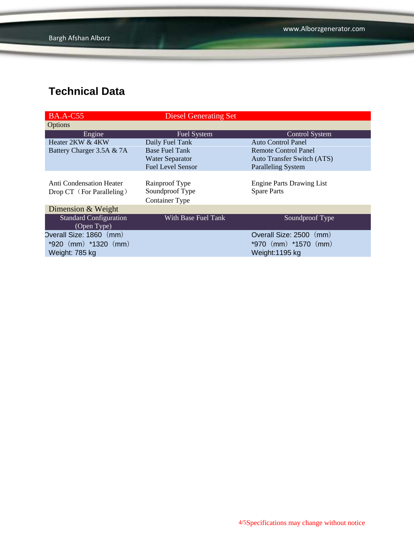| <b>BA.A-C55</b>               | <b>Diesel Generating Set</b> |                                   |
|-------------------------------|------------------------------|-----------------------------------|
| Options                       |                              |                                   |
| Engine                        | Fuel System                  | <b>Control System</b>             |
| Heater 2KW & 4KW              | Daily Fuel Tank              | <b>Auto Control Panel</b>         |
| Battery Charger 3.5A & 7A     | <b>Base Fuel Tank</b>        | <b>Remote Control Panel</b>       |
|                               | <b>Water Separator</b>       | <b>Auto Transfer Switch (ATS)</b> |
|                               | <b>Fuel Level Sensor</b>     | <b>Paralleling System</b>         |
|                               |                              |                                   |
| Anti Condensation Heater      | Rainproof Type               | <b>Engine Parts Drawing List</b>  |
| Drop CT (For Paralleling)     | Soundproof Type              | <b>Spare Parts</b>                |
|                               | <b>Container Type</b>        |                                   |
| Dimension & Weight            |                              |                                   |
| <b>Standard Configuration</b> | With Base Fuel Tank          | Soundproof Type                   |
| (Open Type)                   |                              |                                   |
| Overall Size: 1860 (mm)       |                              | Overall Size: 2500<br>(mm)        |
| $*920$ (mm) $*1320$ (mm)      |                              | *970 $(mm)$ *1570 $(mm)$          |
| Weight: 785 kg                |                              | Weight:1195 kg                    |